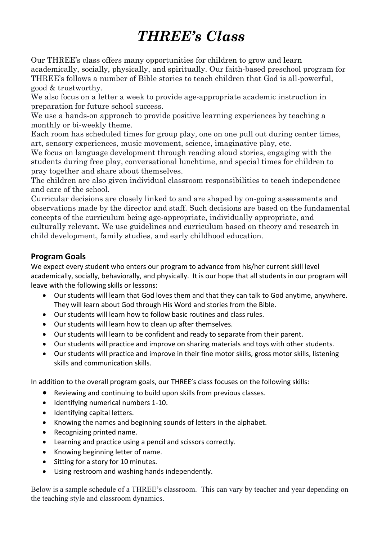## *THREE's Class*

Our THREE's class offers many opportunities for children to grow and learn academically, socially, physically, and spiritually. Our faith-based preschool program for THREE's follows a number of Bible stories to teach children that God is all-powerful, good & trustworthy.

We also focus on a letter a week to provide age-appropriate academic instruction in preparation for future school success.

We use a hands-on approach to provide positive learning experiences by teaching a monthly or bi-weekly theme.

Each room has scheduled times for group play, one on one pull out during center times, art, sensory experiences, music movement, science, imaginative play, etc.

We focus on language development through reading aloud stories, engaging with the students during free play, conversational lunchtime, and special times for children to pray together and share about themselves.

The children are also given individual classroom responsibilities to teach independence and care of the school.

Curricular decisions are closely linked to and are shaped by on-going assessments and observations made by the director and staff. Such decisions are based on the fundamental concepts of the curriculum being age-appropriate, individually appropriate, and culturally relevant. We use guidelines and curriculum based on theory and research in child development, family studies, and early childhood education.

## **Program Goals**

We expect every student who enters our program to advance from his/her current skill level academically, socially, behaviorally, and physically. It is our hope that all students in our program will leave with the following skills or lessons:

- Our students will learn that God loves them and that they can talk to God anytime, anywhere. They will learn about God through His Word and stories from the Bible.
- Our students will learn how to follow basic routines and class rules.
- Our students will learn how to clean up after themselves.
- Our students will learn to be confident and ready to separate from their parent.
- Our students will practice and improve on sharing materials and toys with other students.
- Our students will practice and improve in their fine motor skills, gross motor skills, listening skills and communication skills.

In addition to the overall program goals, our THREE's class focuses on the following skills:

- Reviewing and continuing to build upon skills from previous classes.
- Identifying numerical numbers 1-10.
- Identifying capital letters.
- Knowing the names and beginning sounds of letters in the alphabet.
- Recognizing printed name.
- Learning and practice using a pencil and scissors correctly.
- Knowing beginning letter of name.
- Sitting for a story for 10 minutes.
- Using restroom and washing hands independently.

Below is a sample schedule of a THREE's classroom. This can vary by teacher and year depending on the teaching style and classroom dynamics.